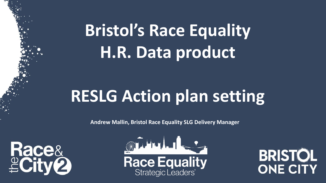# **Bristol's Race Equality H.R. Data product**

# **RESLG Action plan setting**

**Andrew Mallin, Bristol Race Equality SLG Delivery Manager**





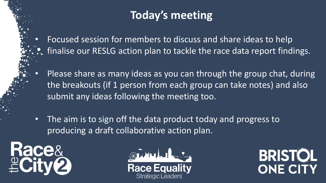### **Today's meeting**

- Focused session for members to discuss and share ideas to help finalise our RESLG action plan to tackle the race data report findings.
- Please share as many ideas as you can through the group chat, during the breakouts (if 1 person from each group can take notes) and also submit any ideas following the meeting too.
- The aim is to sign off the data product today and progress to producing a draft collaborative action plan.





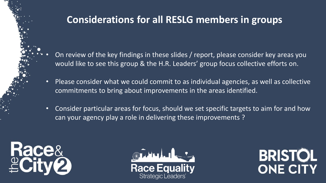### **Considerations for all RESLG members in groups**

- On review of the key findings in these slides / report, please consider key areas you would like to see this group & the H.R. Leaders' group focus collective efforts on.
- Please consider what we could commit to as individual agencies, as well as collective commitments to bring about improvements in the areas identified.
- Consider particular areas for focus, should we set specific targets to aim for and how can your agency play a role in delivering these improvements ?





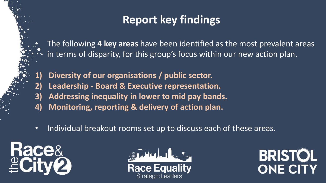### **Report key findings**

• The following **4 key areas** have been identified as the most prevalent areas in terms of disparity, for this group's focus within our new action plan.

- **1) Diversity of our organisations / public sector.**
- **2) Leadership - Board & Executive representation.**
- **3) Addressing inequality in lower to mid pay bands.**
- **4) Monitoring, reporting & delivery of action plan.**
- Individual breakout rooms set up to discuss each of these areas.





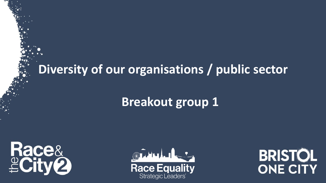## **Diversity of our organisations / public sector**

## **Breakout group 1**





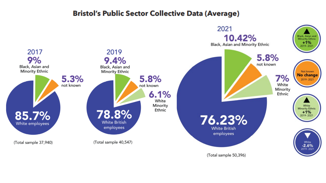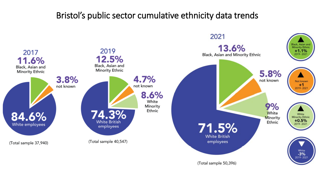### Bristol's public sector cumulative ethnicity data trends

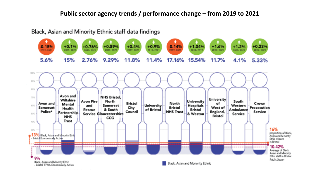#### **Public sector agency trends / performance change – from 2019 to 2021**

#### Black, Asian and Minority Ethnic staff data findings

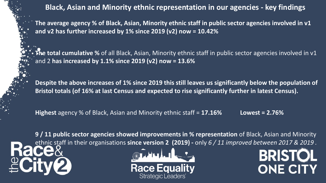**Black, Asian and Minority ethnic representation in our agencies - key findings** 

**The average agency % of Black, Asian, Minority ethnic staff in public sector agencies involved in v1 and v2 has further increased by 1% since 2019 (v2) now = 10.42%**

**The total cumulative %** of all Black, Asian, Minority ethnic staff in public sector agencies involved in v1 and 2 **has increased by 1.1% since 2019 (v2) now = 13.6%**

**Despite the above increases of 1% since 2019 this still leaves us significantly below the population of Bristol totals (of 16% at last Census and expected to rise significantly further in latest Census).**

**Highest** agency % of Black, Asian and Minority ethnic staff = **17.16% Lowest = 2.76%**

**9 / 11 public sector agencies showed improvements in % representation** of Black, Asian and Minority ethnic staff in their organisations **since version 2 (2019)** - only 6 / 11 improved between 2017 & 2019 .<br> **CCCC** 2 **19 Allent CCCC** 

**BRISTOL** 

ONE CITY

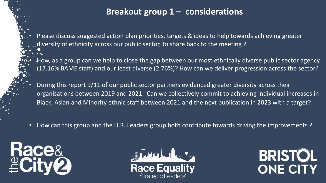### **Breakout group 1 – considerations**

• Please discuss suggested action plan priorities, targets & ideas to help towards achieving greater diversity of ethnicity across our public sector, to share back to the meeting ?

• How, as a group can we help to close the gap between our most ethnically diverse public sector agency (17.16% BAME staff) and our least diverse (2.76%)? How can we deliver progression across the sector?

• During this report 9/11 of our public sector partners evidenced greater diversity across their organisations between 2019 and 2021. Can we collectively commit to achieving individual increases in Black, Asian and Minority ethnic staff between 2021 and the next publication in 2023 with a target?

• How can this group and the H.R. Leaders group both contribute towards driving the improvements?





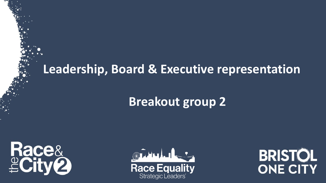### **Leadership, Board & Executive representation**

## **Breakout group 2**





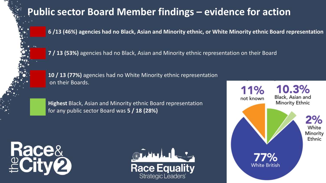### **Public sector Board Member findings – evidence for action**

**6 /13 (46%) agencies had no Black, Asian and Minority ethnic, or White Minority ethnic Board representation**

**7 / 13 (53%)** agencies had no Black, Asian and Minority ethnic representation on their Board

**10 / 13 (77%)** agencies had no White Minority ethnic representation on their Boards.

**Highest** Black, Asian and Minority ethnic Board representation for any public sector Board was **5 / 18 (28%)**





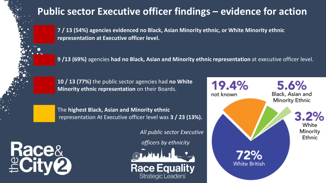### **Public sector Executive officer findings – evidence for action**

**7 / 13 (54%) agencies evidenced no Black, Asian Minority ethnic, or White Minority ethnic representation at Executive officer level.**

**9 /13 (69%)** agencies **had no Black, Asian and Minority ethnic representation** at executive officer level.

**10 / 13 (77%)** the public sector agencies had **no White Minority ethnic representation** on their Boards.

The **highest Black, Asian and Minority ethnic** representation At Executive officer level was **3 / 23 (13%).**

*All public sector Executive*

*officers by ethnicity*



**Race Equality** 

Strategic Leaders'

19.4% 5.6% Black, Asian and not known Minority Ethnic  $3.2%$ White Minority Ethnic 72% **White British** 

**Race&<br><u>e</u>City2**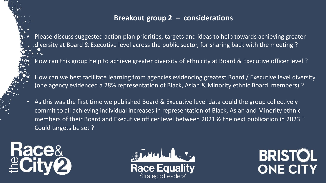#### **Breakout group 2 – considerations**

• Please discuss suggested action plan priorities, targets and ideas to help towards achieving greater diversity at Board & Executive level across the public sector, for sharing back with the meeting ?

• How can this group help to achieve greater diversity of ethnicity at Board & Executive officer level ?

• How can we best facilitate learning from agencies evidencing greatest Board / Executive level diversity (one agency evidenced a 28% representation of Black, Asian & Minority ethnic Board members) ?

• As this was the first time we published Board & Executive level data could the group collectively commit to all achieving individual increases in representation of Black, Asian and Minority ethnic members of their Board and Executive officer level between 2021 & the next publication in 2023 ? Could targets be set ?





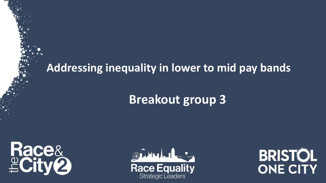### **Addressing inequality in lower to mid pay bands**

## **Breakout group 3**





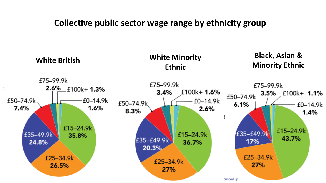#### Collective public sector wage range by ethnicity group **Collective public sector wage range by ethnicity group**

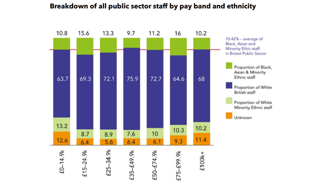#### 13.3 9.7 10.8 15.6 11.2 16 10.2  $10.42\%$  – average of Black, Asian and **Minority Ethic staff** in Bristol Public Sector Proportion of Black, Asian & Minority Ethnic staff 72.1 75.9 64.6 63.7 69.3 72.7 68 Proportion of White British staff Proportion of White Minority Ethnic staff Unknown

#### Breakdown of all public sector staff by pay band and ethnicity

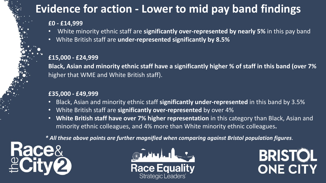### **Evidence for action - Lower to mid pay band findings**

#### **£0 - £14,999**

- White minority ethnic staff are **significantly over-represented by nearly 5%** in this pay band
- White British staff are **under-represented significantly by 8.5%**

#### **£15,000 - £24,999**

**Black, Asian and minority ethnic staff have a significantly higher % of staff in this band (over 7%**  higher that WME and White British staff).

#### **£35,000 - £49,999**

- Black, Asian and minority ethnic staff **significantly under-represented** in this band by 3.5%
- White British staff are **significantly over-represented** by over 4%
- **White British staff have over 7% higher representation** in this category than Black, Asian and minority ethnic colleagues, and 4% more than White minority ethnic colleagues**.**

*\* All these above points are further magnified when comparing against Bristol population figures*.





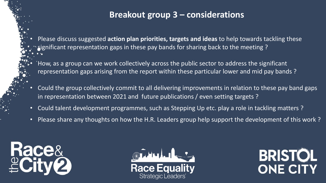### **Breakout group 3 – considerations**

• Please discuss suggested **action plan priorities, targets and ideas** to help towards tackling these significant representation gaps in these pay bands for sharing back to the meeting ?

• How, as a group can we work collectively across the public sector to address the significant representation gaps arising from the report within these particular lower and mid pay bands ?

- Could the group collectively commit to all delivering improvements in relation to these pay band gaps in representation between 2021 and future publications / even setting targets ?
- Could talent development programmes, such as Stepping Up etc. play a role in tackling matters ?
- Please share any thoughts on how the H.R. Leaders group help support the development of this work ?





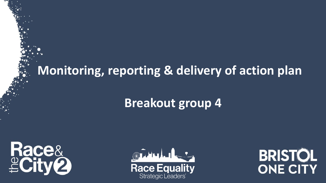### **Monitoring, reporting & delivery of action plan**

### **Breakout group 4**





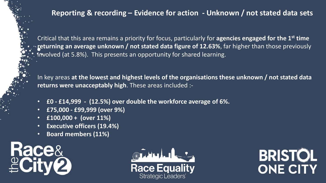### **Reporting & recording – Evidence for action - Unknown / not stated data sets**

Critical that this area remains a priority for focus, particularly for **agencies engaged for the 1st time returning an average unknown / not stated data figure of 12.63%**, far higher than those previously involved (at 5.8%). This presents an opportunity for shared learning.

In key areas **at the lowest and highest levels of the organisations these unknown / not stated data returns were unacceptably high**. These areas included :-

- **£0 - £14,999 - (12.5%) over double the workforce average of 6%.**
- **£75,000 - £99,999 (over 9%)**
- **£100,000 + (over 11%)**
- **Executive officers (19.4%)**
- **Board members (11%)**





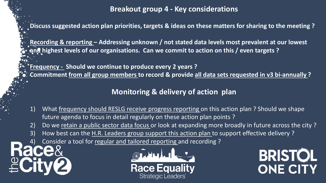**Breakout group 4 - Key considerations**

**Discuss suggested action plan priorities, targets & ideas on these matters for sharing to the meeting ?**

**Recording & reporting – Addressing unknown / not stated data levels most prevalent at our lowest and highest levels of our organisations. Can we commit to action on this / even targets ?**

**Frequency - Should we continue to produce every 2 years ?**

**Commitment from all group members to record & provide all data sets requested in v3 bi-annually ?**

#### **Monitoring & delivery of action plan**

- 1) What frequency should RESLG receive progress reporting on this action plan ? Should we shape future agenda to focus in detail regularly on these action plan points ?
- 2) Do we retain a public sector data focus or look at expanding more broadly in future across the city?
- 3) How best can the H.R. Leaders group support this action plan to support effective delivery?
- 4) Consider a tool for regular and tailored reporting and recording ?



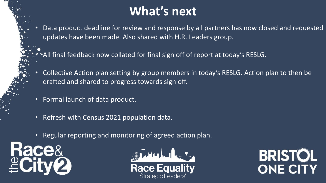## **What's next**

- Data product deadline for review and response by all partners has now closed and requested updates have been made. Also shared with H.R. Leaders group.
- All final feedback now collated for final sign off of report at today's RESLG.
- Collective Action plan setting by group members in today's RESLG. Action plan to then be drafted and shared to progress towards sign off.
- Formal launch of data product.
- Refresh with Census 2021 population data.
- Regular reporting and monitoring of agreed action plan.